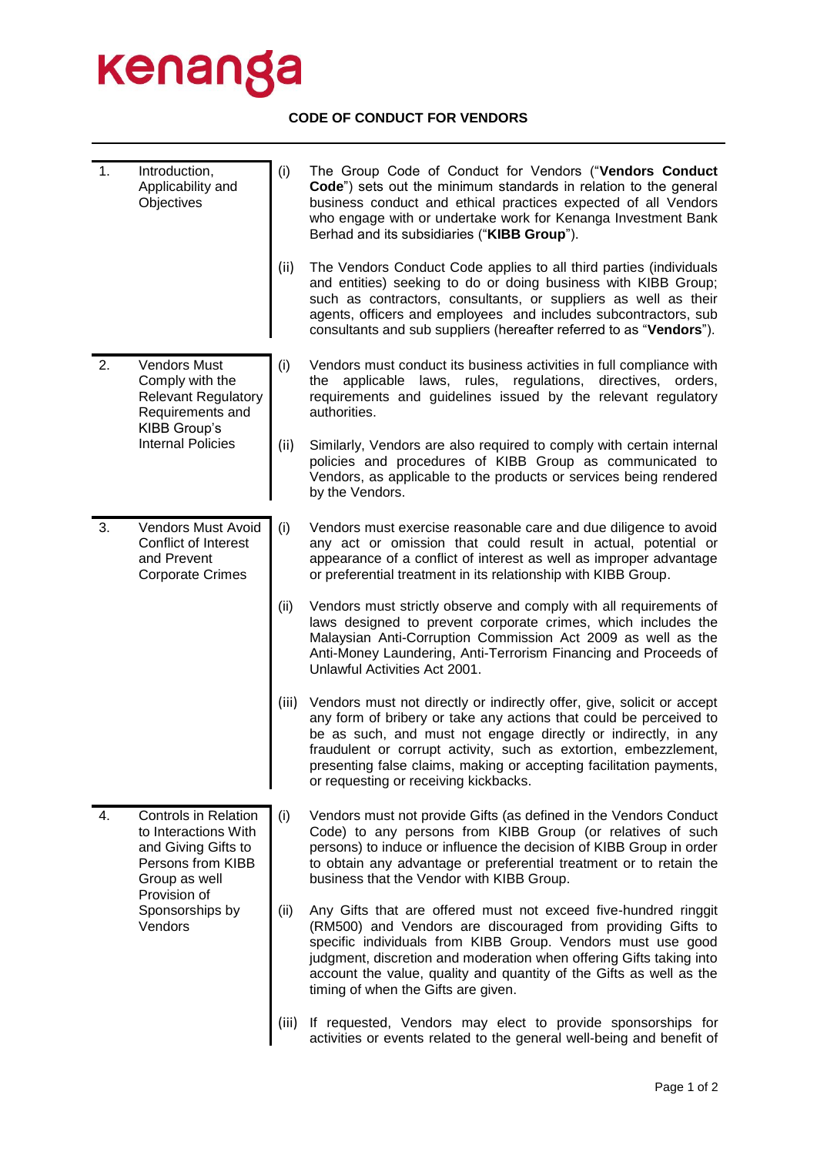## kenanga

## **CODE OF CONDUCT FOR VENDORS**

| 1. | Introduction,<br>Applicability and<br>Objectives                                                                                                               | (i)   | The Group Code of Conduct for Vendors ("Vendors Conduct<br>Code") sets out the minimum standards in relation to the general<br>business conduct and ethical practices expected of all Vendors<br>who engage with or undertake work for Kenanga Investment Bank<br>Berhad and its subsidiaries ("KIBB Group").                                                                                      |
|----|----------------------------------------------------------------------------------------------------------------------------------------------------------------|-------|----------------------------------------------------------------------------------------------------------------------------------------------------------------------------------------------------------------------------------------------------------------------------------------------------------------------------------------------------------------------------------------------------|
|    |                                                                                                                                                                | (ii)  | The Vendors Conduct Code applies to all third parties (individuals<br>and entities) seeking to do or doing business with KIBB Group;<br>such as contractors, consultants, or suppliers as well as their<br>agents, officers and employees and includes subcontractors, sub<br>consultants and sub suppliers (hereafter referred to as "Vendors").                                                  |
| 2. | <b>Vendors Must</b><br>Comply with the<br><b>Relevant Regulatory</b><br>Requirements and<br>KIBB Group's<br><b>Internal Policies</b>                           | (i)   | Vendors must conduct its business activities in full compliance with<br>applicable laws, rules, regulations, directives, orders,<br>the<br>requirements and guidelines issued by the relevant regulatory<br>authorities.                                                                                                                                                                           |
|    |                                                                                                                                                                | (ii)  | Similarly, Vendors are also required to comply with certain internal<br>policies and procedures of KIBB Group as communicated to<br>Vendors, as applicable to the products or services being rendered<br>by the Vendors.                                                                                                                                                                           |
| 3. | Vendors Must Avoid<br>Conflict of Interest<br>and Prevent<br><b>Corporate Crimes</b>                                                                           | (i)   | Vendors must exercise reasonable care and due diligence to avoid<br>any act or omission that could result in actual, potential or<br>appearance of a conflict of interest as well as improper advantage<br>or preferential treatment in its relationship with KIBB Group.                                                                                                                          |
|    |                                                                                                                                                                | (ii)  | Vendors must strictly observe and comply with all requirements of<br>laws designed to prevent corporate crimes, which includes the<br>Malaysian Anti-Corruption Commission Act 2009 as well as the<br>Anti-Money Laundering, Anti-Terrorism Financing and Proceeds of<br>Unlawful Activities Act 2001.                                                                                             |
|    |                                                                                                                                                                | (iii) | Vendors must not directly or indirectly offer, give, solicit or accept<br>any form of bribery or take any actions that could be perceived to<br>be as such, and must not engage directly or indirectly, in any<br>fraudulent or corrupt activity, such as extortion, embezzlement,<br>presenting false claims, making or accepting facilitation payments,<br>or requesting or receiving kickbacks. |
| 4. | <b>Controls in Relation</b><br>to Interactions With<br>and Giving Gifts to<br>Persons from KIBB<br>Group as well<br>Provision of<br>Sponsorships by<br>Vendors | (i)   | Vendors must not provide Gifts (as defined in the Vendors Conduct<br>Code) to any persons from KIBB Group (or relatives of such<br>persons) to induce or influence the decision of KIBB Group in order<br>to obtain any advantage or preferential treatment or to retain the<br>business that the Vendor with KIBB Group.                                                                          |
|    |                                                                                                                                                                | (ii)  | Any Gifts that are offered must not exceed five-hundred ringgit<br>(RM500) and Vendors are discouraged from providing Gifts to<br>specific individuals from KIBB Group. Vendors must use good<br>judgment, discretion and moderation when offering Gifts taking into<br>account the value, quality and quantity of the Gifts as well as the<br>timing of when the Gifts are given.                 |
|    |                                                                                                                                                                | (iii) | If requested, Vendors may elect to provide sponsorships for<br>activities or events related to the general well-being and benefit of                                                                                                                                                                                                                                                               |